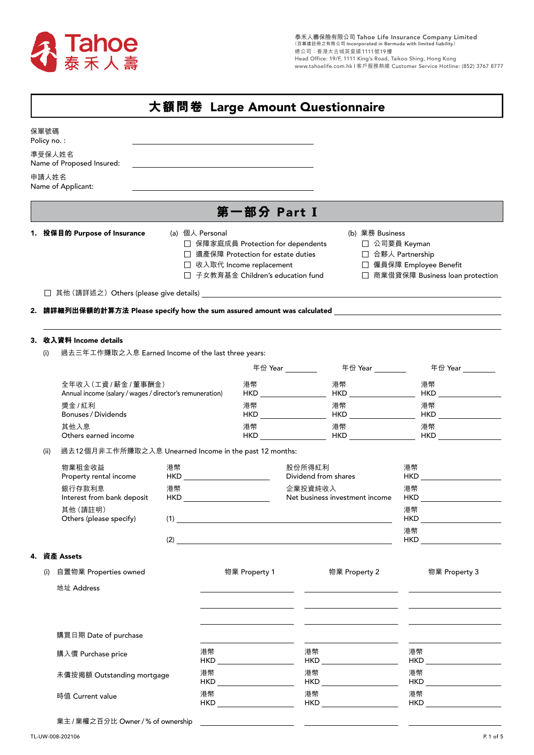

|                     |                                                                                                      | 大額問卷 Large Amount Questionnaire                                                                                                                                                                                                      |                                                                                                                                              |                                |                                                                                                                       |                                                                                                                                                                                                                                      |  |  |
|---------------------|------------------------------------------------------------------------------------------------------|--------------------------------------------------------------------------------------------------------------------------------------------------------------------------------------------------------------------------------------|----------------------------------------------------------------------------------------------------------------------------------------------|--------------------------------|-----------------------------------------------------------------------------------------------------------------------|--------------------------------------------------------------------------------------------------------------------------------------------------------------------------------------------------------------------------------------|--|--|
| 保單號碼<br>Policy no.: |                                                                                                      |                                                                                                                                                                                                                                      |                                                                                                                                              |                                |                                                                                                                       |                                                                                                                                                                                                                                      |  |  |
|                     | 準受保人姓名                                                                                               |                                                                                                                                                                                                                                      |                                                                                                                                              |                                |                                                                                                                       |                                                                                                                                                                                                                                      |  |  |
|                     | Name of Proposed Insured:                                                                            |                                                                                                                                                                                                                                      |                                                                                                                                              |                                |                                                                                                                       |                                                                                                                                                                                                                                      |  |  |
| 申請人姓名               | Name of Applicant:                                                                                   | <u> 1980 - Johann Stein, marwolaethau a bhann an t-Amhair an t-Amhair an t-Amhair an t-Amhair an t-Amhair an t-A</u>                                                                                                                 |                                                                                                                                              |                                |                                                                                                                       |                                                                                                                                                                                                                                      |  |  |
|                     |                                                                                                      |                                                                                                                                                                                                                                      |                                                                                                                                              | 第一部分 Part I                    |                                                                                                                       |                                                                                                                                                                                                                                      |  |  |
|                     | 1. 投保目的 Purpose of Insurance<br>(a) 個人 Personal                                                      |                                                                                                                                                                                                                                      | □ 保障家庭成員 Protection for dependents<br>□ 遺產保障 Protection for estate duties<br>□ 收入取代 Income replacement<br>□ 子女教育基金 Children's education fund |                                | (b) 業務 Business<br>□ 公司要員 Keyman<br>□ 合夥人 Partnership<br>□ 僱員保障 Employee Benefit<br>□ 商業借貸保障 Business loan protection |                                                                                                                                                                                                                                      |  |  |
|                     | 2. 請詳細列出保額的計算方法 Please specify how the sum assured amount was calculated ___________________________ |                                                                                                                                                                                                                                      |                                                                                                                                              |                                |                                                                                                                       |                                                                                                                                                                                                                                      |  |  |
|                     | 3. 收入資料 Income details                                                                               |                                                                                                                                                                                                                                      |                                                                                                                                              |                                |                                                                                                                       |                                                                                                                                                                                                                                      |  |  |
| (i)                 | 過去三年工作賺取之入息 Earned Income of the last three years:                                                   |                                                                                                                                                                                                                                      |                                                                                                                                              |                                |                                                                                                                       |                                                                                                                                                                                                                                      |  |  |
|                     |                                                                                                      |                                                                                                                                                                                                                                      |                                                                                                                                              | 年份 Year _________              | 年份 Year _________                                                                                                     | 年份 Year ________                                                                                                                                                                                                                     |  |  |
|                     | 全年收入(工資/薪金/董事酬金)<br>Annual income (salary / wages / director's remuneration)                         |                                                                                                                                                                                                                                      | 港幣                                                                                                                                           |                                | 港幣                                                                                                                    | 港幣                                                                                                                                                                                                                                   |  |  |
|                     | 獎金 / 紅利<br>Bonuses / Dividends                                                                       |                                                                                                                                                                                                                                      | 港幣                                                                                                                                           | HKD <b>HKD</b>                 | 港幣                                                                                                                    | 港幣<br>HKD HKD HKD                                                                                                                                                                                                                    |  |  |
|                     | 其他入息<br>Others earned income                                                                         |                                                                                                                                                                                                                                      | 港幣                                                                                                                                           | HKD <b>HKD</b>                 | 港幣                                                                                                                    | 港幣<br>HKD HKD HKD                                                                                                                                                                                                                    |  |  |
| (ii)                | 過去12個月非工作所賺取之入息 Unearned Income in the past 12 months:                                               |                                                                                                                                                                                                                                      |                                                                                                                                              |                                |                                                                                                                       |                                                                                                                                                                                                                                      |  |  |
|                     | 物業租金收益<br>Property rental income                                                                     | 港幣<br>HKD and the contract of the contract of the contract of the contract of the contract of the contract of the contract of the contract of the contract of the contract of the contract of the contract of the contract of the co |                                                                                                                                              | 股份所得紅利<br>Dividend from shares |                                                                                                                       | 港幣<br>HKD <b>HKD</b>                                                                                                                                                                                                                 |  |  |
|                     | 銀行存款利息<br>Interest from bank deposit                                                                 | 港幣                                                                                                                                                                                                                                   |                                                                                                                                              | 企業投資純收入                        | Net business investment income                                                                                        | 港幣                                                                                                                                                                                                                                   |  |  |
|                     | 其他 (請註明)<br>Others (please specify)                                                                  |                                                                                                                                                                                                                                      |                                                                                                                                              |                                |                                                                                                                       | 港幣<br>HKD and the contract of the contract of the contract of the contract of the contract of the contract of the contract of the contract of the contract of the contract of the contract of the contract of the contract of the co |  |  |
|                     |                                                                                                      |                                                                                                                                                                                                                                      |                                                                                                                                              |                                |                                                                                                                       | 港幣<br>HKD <b>HKD</b>                                                                                                                                                                                                                 |  |  |
|                     | 4. 資產 Assets                                                                                         |                                                                                                                                                                                                                                      |                                                                                                                                              |                                |                                                                                                                       |                                                                                                                                                                                                                                      |  |  |
|                     |                                                                                                      |                                                                                                                                                                                                                                      |                                                                                                                                              |                                |                                                                                                                       |                                                                                                                                                                                                                                      |  |  |
| (i)                 | 自置物業 Properties owned                                                                                |                                                                                                                                                                                                                                      | 物業 Property 1                                                                                                                                |                                | 物業 Property 2                                                                                                         | 物業 Property 3                                                                                                                                                                                                                        |  |  |
|                     | 地址 Address                                                                                           |                                                                                                                                                                                                                                      |                                                                                                                                              |                                |                                                                                                                       |                                                                                                                                                                                                                                      |  |  |
|                     | 購買日期 Date of purchase                                                                                |                                                                                                                                                                                                                                      |                                                                                                                                              |                                |                                                                                                                       |                                                                                                                                                                                                                                      |  |  |
|                     | 購入價 Purchase price                                                                                   | 港幣                                                                                                                                                                                                                                   |                                                                                                                                              | 港幣                             | HKD ____________________                                                                                              | 港幣                                                                                                                                                                                                                                   |  |  |
|                     | 未償按揭額 Outstanding mortgage                                                                           | 港幣                                                                                                                                                                                                                                   |                                                                                                                                              | 港幣                             |                                                                                                                       | 港幣<br>HKD                                                                                                                                                                                                                            |  |  |
|                     | 時值 Current value                                                                                     | 港幣                                                                                                                                                                                                                                   |                                                                                                                                              | 港幣                             |                                                                                                                       | 港幣                                                                                                                                                                                                                                   |  |  |

業主 / 業權之百分比 Owner / % of ownership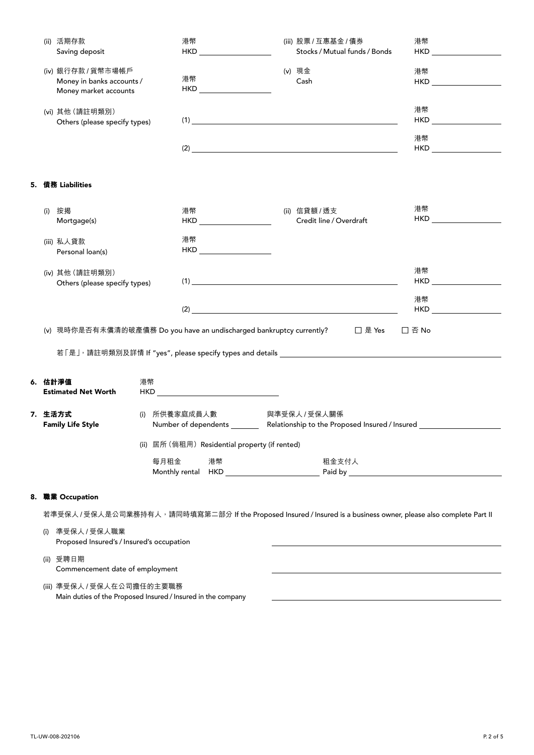|    |                                                                                                                                                                                                                       | (ii) 活期存款<br>Saving deposit                                                                |    | 港幣   | $HKD$ and $MID$ and $MID$ and $MID$ and $MID$ |  | (iii) 股票 / 互惠基金 / 債券<br>Stocks / Mutual funds / Bonds                                                             | 港幣                          |
|----|-----------------------------------------------------------------------------------------------------------------------------------------------------------------------------------------------------------------------|--------------------------------------------------------------------------------------------|----|------|-----------------------------------------------|--|-------------------------------------------------------------------------------------------------------------------|-----------------------------|
|    |                                                                                                                                                                                                                       | (iv) 銀行存款 / 貨幣市場帳戶<br>Money in banks accounts /<br>Money market accounts                   |    | 港幣   |                                               |  | (v) 現金<br>Cash                                                                                                    | 港幣                          |
|    |                                                                                                                                                                                                                       | (vi) 其他 (請註明類別)<br>Others (please specify types)                                           |    |      |                                               |  | (1)                                                                                                               | 港幣<br>$HKD$ $\qquad \qquad$ |
|    |                                                                                                                                                                                                                       |                                                                                            |    |      |                                               |  |                                                                                                                   | 港幣                          |
|    |                                                                                                                                                                                                                       | 5.   債務 Liabilities                                                                        |    |      |                                               |  |                                                                                                                   |                             |
|    | (i)                                                                                                                                                                                                                   | 按揭<br>Mortgage(s)                                                                          |    | 港幣   |                                               |  | (ii) 信貸額 / 透支<br>Credit line / Overdraft                                                                          | 港幣<br>HKD <b>HKD</b>        |
|    |                                                                                                                                                                                                                       | (iii) 私人貸款<br>Personal loan(s)                                                             |    | 港幣   | HKD <b>HKD</b>                                |  |                                                                                                                   |                             |
|    |                                                                                                                                                                                                                       | (iv) 其他 (請註明類別)<br>Others (please specify types)                                           |    |      |                                               |  | (1)                                                                                                               | 港幣<br>HKD <b>HKD</b>        |
|    |                                                                                                                                                                                                                       |                                                                                            |    |      |                                               |  | $(2)$ $\overline{\phantom{a}}$                                                                                    | 港幣                          |
|    |                                                                                                                                                                                                                       | (v) 現時你是否有未償清的破產債務 Do you have an undischarged bankruptcy currently?                       |    |      |                                               |  | □ 是 Yes  □ 否 No                                                                                                   |                             |
|    |                                                                                                                                                                                                                       |                                                                                            |    |      |                                               |  |                                                                                                                   |                             |
|    |                                                                                                                                                                                                                       | 6. 估計淨值<br><b>Estimated Net Worth</b>                                                      | 港幣 |      | HKD __________________________                |  |                                                                                                                   |                             |
|    | (i) 所供養家庭成員人數<br>與準受保人 / 受保人關係<br>7. 生活方式<br>Number of dependents _________ Relationship to the Proposed Insured / Insured ____________<br><b>Family Life Style</b><br>(ii) 居所 (倘租用) Residential property (if rented) |                                                                                            |    |      |                                               |  |                                                                                                                   |                             |
|    |                                                                                                                                                                                                                       |                                                                                            |    |      |                                               |  |                                                                                                                   |                             |
|    |                                                                                                                                                                                                                       |                                                                                            |    | 每月租金 | 港幣                                            |  | 租金支付人                                                                                                             |                             |
| 8. |                                                                                                                                                                                                                       | 職業 Occupation                                                                              |    |      |                                               |  |                                                                                                                   |                             |
|    |                                                                                                                                                                                                                       |                                                                                            |    |      |                                               |  | 若準受保人 / 受保人是公司業務持有人,請同時填寫第二部分 If the Proposed Insured / Insured is a business owner, please also complete Part II |                             |
|    | (i)                                                                                                                                                                                                                   | 準受保人 / 受保人職業<br>Proposed Insured's / Insured's occupation                                  |    |      |                                               |  |                                                                                                                   |                             |
|    |                                                                                                                                                                                                                       | (ii) 受聘日期<br>Commencement date of employment                                               |    |      |                                               |  |                                                                                                                   |                             |
|    |                                                                                                                                                                                                                       | (iii) 準受保人 / 受保人在公司擔任的主要職務<br>Main duties of the Proposed Insured / Insured in the company |    |      |                                               |  |                                                                                                                   |                             |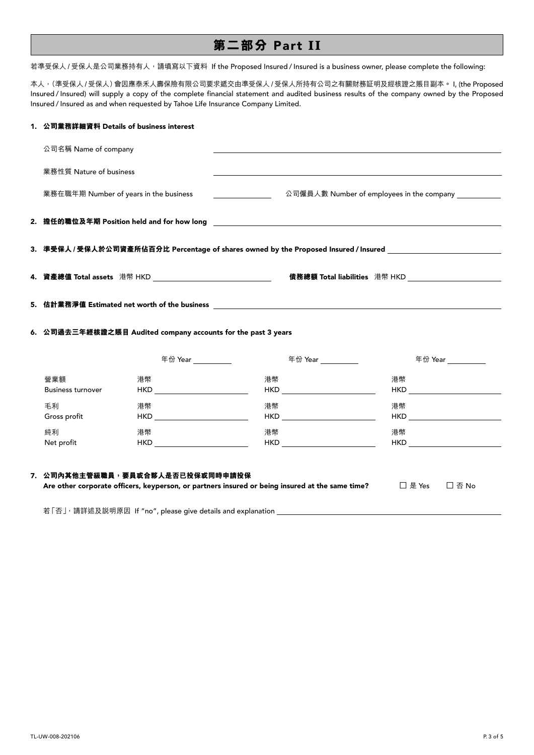# **第二部分** Part **II**

若準受保人 / 受保人是公司業務持有人,請填寫以下資料 If the Proposed Insured / Insured is a business owner, please complete the following:

本人,(準受保人/受保人)會因應泰禾人壽保險有限公司要求遞交由準受保人/受保人所持有公司之有關財務証明及經核證之賬目副本。 I, (the Proposed Insured / Insured) will supply a copy of the complete financial statement and audited business results of the company owned by the Proposed Insured / Insured as and when requested by Tahoe Life Insurance Company Limited.

| 1. 公司業務詳細資料 Details of business interest                                                                            |                                                                   |                                                                                                 |                                                                                                                                                                                                                                     |  |  |  |
|---------------------------------------------------------------------------------------------------------------------|-------------------------------------------------------------------|-------------------------------------------------------------------------------------------------|-------------------------------------------------------------------------------------------------------------------------------------------------------------------------------------------------------------------------------------|--|--|--|
| 公司名稱 Name of company                                                                                                |                                                                   |                                                                                                 |                                                                                                                                                                                                                                     |  |  |  |
| 業務性質 Nature of business                                                                                             |                                                                   |                                                                                                 |                                                                                                                                                                                                                                     |  |  |  |
| 業務在職年期 Number of years in the business                                                                              |                                                                   |                                                                                                 | 公司僱員人數 Number of employees in the company ___________                                                                                                                                                                               |  |  |  |
|                                                                                                                     |                                                                   |                                                                                                 |                                                                                                                                                                                                                                     |  |  |  |
|                                                                                                                     |                                                                   |                                                                                                 | 3. 準受保人 / 受保人於公司資產所佔百分比 Percentage of shares owned by the Proposed Insured / Insured _________________________                                                                                                                      |  |  |  |
|                                                                                                                     |                                                                   |                                                                                                 |                                                                                                                                                                                                                                     |  |  |  |
| 5. 估計業務淨值 Estimated net worth of the business contract the contract of the business of the contract of the business |                                                                   |                                                                                                 |                                                                                                                                                                                                                                     |  |  |  |
|                                                                                                                     | 6. 公司過去三年經核證之賬目 Audited company accounts for the past 3 years     |                                                                                                 |                                                                                                                                                                                                                                     |  |  |  |
|                                                                                                                     | 年份 Year __________                                                | 年份 Year                                                                                         | 年份 Year __________                                                                                                                                                                                                                  |  |  |  |
| 營業額<br><b>Business turnover</b>                                                                                     | 港幣                                                                | 港幣<br>HKD                                                                                       | 港幣<br>HKD <b>HKD</b>                                                                                                                                                                                                                |  |  |  |
| 毛利<br>Gross profit                                                                                                  | 港幣<br>HKD __________________________                              | 港幣<br>HKD ___________________________                                                           | 港幣<br>$HKD$ and $M$ and $M$ and $M$ and $M$ and $M$ and $M$ and $M$ and $M$ and $M$ and $M$ and $M$ and $M$ and $M$ and $M$ and $M$ and $M$ and $M$ and $M$ and $M$ and $M$ and $M$ and $M$ and $M$ and $M$ and $M$ and $M$ and $M$ |  |  |  |
| 純利<br>Net profit                                                                                                    | 港幣<br>HKD __________________________                              | 港幣<br>HKD                                                                                       | 港幣<br>HKD                                                                                                                                                                                                                           |  |  |  |
|                                                                                                                     | 7. 公司內其他主管級職員,要員或合夥人是否已投保或同時申請投保                                  | Are other corporate officers, keyperson, or partners insured or being insured at the same time? | □ 是 Yes<br>□ 否 No                                                                                                                                                                                                                   |  |  |  |
|                                                                                                                     | 若「否」, 請詳述及説明原因 If "no", please give details and explanation _____ |                                                                                                 |                                                                                                                                                                                                                                     |  |  |  |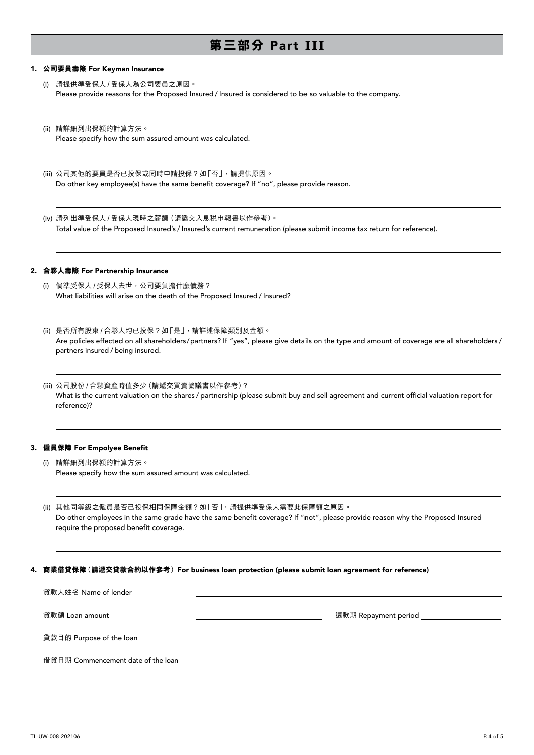# **第三部分** Part **III**

#### 1. **公司要員壽險** For Keyman Insurance

 $\overline{a}$ 

 $\overline{a}$ 

 $\overline{a}$ 

l

 $\overline{a}$ 

 $\overline{a}$ 

 $\overline{a}$ 

 $\overline{a}$ 

 $\overline{a}$ 

(i) 請提供準受保人 / 受保人為公司要員之原因。 Please provide reasons for the Proposed Insured / Insured is considered to be so valuable to the company.

(ii) 請詳細列出保額的計算方法。 Please specify how the sum assured amount was calculated.

(iii) 公司其他的要員是否已投保或同時申請投保?如「否」,請提供原因。 Do other key employee(s) have the same benefit coverage? If "no", please provide reason.

(iv) 請列出準受保人 / 受保人現時之薪酬(請遞交入息稅申報書以作參考)。 Total value of the Proposed Insured's / Insured's current remuneration (please submit income tax return for reference).

### 2. **合夥人壽險** For Partnership Insurance

- (i) 倘準受保人 / 受保人去世,公司要負擔什麼債務? What liabilities will arise on the death of the Proposed Insured / Insured?
- (ii) 是否所有股東 / 合夥人均已投保?如「是」,請詳述保障類別及金額。 Are policies effected on all shareholders/partners? If "yes", please give details on the type and amount of coverage are all shareholders / partners insured / being insured.
- (iii) 公司股份 / 合夥資產時值多少(請遞交買賣協議書以作參考)? What is the current valuation on the shares / partnership (please submit buy and sell agreement and current official valuation report for reference)?

## 3. **僱員保障** For Empolyee Benefit

(i) 請詳細列出保額的計算方法。 Please specify how the sum assured amount was calculated.

(ii) 其他同等級之僱員是否已投保相同保障金額?如「否」,請提供準受保人需要此保障額之原因。 Do other employees in the same grade have the same benefit coverage? If "not", please provide reason why the Proposed Insured require the proposed benefit coverage.

### 4. **商業借貸保障(請遞交貸款合約以作參考)**For business loan protection (please submit loan agreement for reference)

| 貸款人姓名 Name of lender               |                      |
|------------------------------------|----------------------|
| 貸款額 Loan amount                    | 還款期 Repayment period |
| 貸款目的 Purpose of the loan           |                      |
| 借貸日期 Commencement date of the loan |                      |